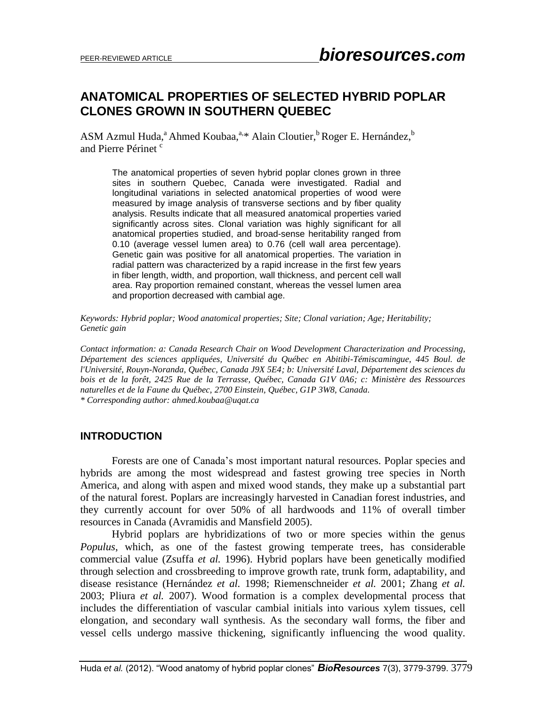## **ANATOMICAL PROPERTIES OF SELECTED HYBRID POPLAR CLONES GROWN IN SOUTHERN QUEBEC**

ASM Azmul Huda,<sup>a</sup> Ahmed Koubaa,<sup>a,\*</sup> Alain Cloutier,<sup>b</sup> Roger E. Hernández,<sup>b</sup> and Pierre Périnet<sup>c</sup>

The anatomical properties of seven hybrid poplar clones grown in three sites in southern Quebec, Canada were investigated. Radial and longitudinal variations in selected anatomical properties of wood were measured by image analysis of transverse sections and by fiber quality analysis. Results indicate that all measured anatomical properties varied significantly across sites. Clonal variation was highly significant for all anatomical properties studied, and broad-sense heritability ranged from 0.10 (average vessel lumen area) to 0.76 (cell wall area percentage). Genetic gain was positive for all anatomical properties. The variation in radial pattern was characterized by a rapid increase in the first few years in fiber length, width, and proportion, wall thickness, and percent cell wall area. Ray proportion remained constant, whereas the vessel lumen area and proportion decreased with cambial age.

*Keywords: Hybrid poplar; Wood anatomical properties; Site; Clonal variation; Age; Heritability; Genetic gain*

*Contact information: a: Canada Research Chair on Wood Development Characterization and Processing, Département des sciences appliquées, Université du Québec en Abitibi-Témiscamingue, 445 Boul. de l'Université, Rouyn-Noranda, Québec, Canada J9X 5E4; b: Université Laval, Département des sciences du bois et de la forêt, 2425 Rue de la Terrasse, Québec, Canada G1V 0A6; c: Ministère des Ressources naturelles et de la Faune du Québec, 2700 Einstein, Québec, G1P 3W8, Canada. \* Corresponding author: ahmed.koubaa@uqat.ca*

## **INTRODUCTION**

Forests are one of Canada's most important natural resources. Poplar species and hybrids are among the most widespread and fastest growing tree species in North America, and along with aspen and mixed wood stands, they make up a substantial part of the natural forest. Poplars are increasingly harvested in Canadian forest industries, and they currently account for over 50% of all hardwoods and 11% of overall timber resources in Canada (Avramidis and Mansfield 2005).

Hybrid poplars are hybridizations of two or more species within the genus *Populus*, which, as one of the fastest growing temperate trees, has considerable commercial value (Zsuffa *et al.* 1996). Hybrid poplars have been genetically modified through selection and crossbreeding to improve growth rate, trunk form, adaptability, and disease resistance (Hernández *et al.* 1998; Riemenschneider *et al.* 2001; Zhang *et al.* 2003; Pliura *et al.* 2007). Wood formation is a complex developmental process that includes the differentiation of vascular cambial initials into various xylem tissues, cell elongation, and secondary wall synthesis. As the secondary wall forms, the fiber and vessel cells undergo massive thickening, significantly influencing the wood quality.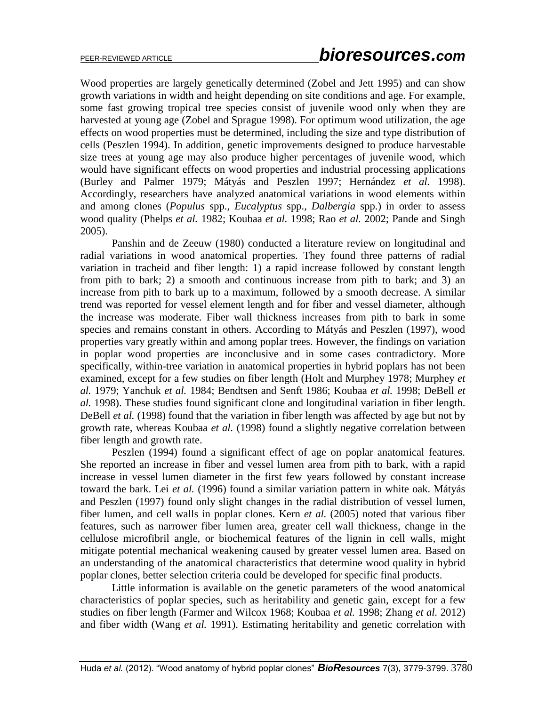Wood properties are largely genetically determined (Zobel and Jett 1995) and can show growth variations in width and height depending on site conditions and age. For example, some fast growing tropical tree species consist of juvenile wood only when they are harvested at young age (Zobel and Sprague 1998). For optimum wood utilization, the age effects on wood properties must be determined, including the size and type distribution of cells (Peszlen 1994). In addition, genetic improvements designed to produce harvestable size trees at young age may also produce higher percentages of juvenile wood, which would have significant effects on wood properties and industrial processing applications (Burley and Palmer 1979; Mátyás and Peszlen 1997; Hernández *et al.* 1998). Accordingly, researchers have analyzed anatomical variations in wood elements within and among clones (*Populus* spp.*, Eucalyptus* spp.*, Dalbergia* spp.) in order to assess wood quality (Phelps *et al.* 1982; Koubaa *et al.* 1998; Rao *et al.* 2002; Pande and Singh 2005).

Panshin and de Zeeuw (1980) conducted a literature review on longitudinal and radial variations in wood anatomical properties. They found three patterns of radial variation in tracheid and fiber length: 1) a rapid increase followed by constant length from pith to bark; 2) a smooth and continuous increase from pith to bark; and 3) an increase from pith to bark up to a maximum, followed by a smooth decrease. A similar trend was reported for vessel element length and for fiber and vessel diameter, although the increase was moderate. Fiber wall thickness increases from pith to bark in some species and remains constant in others. According to Mátyás and Peszlen (1997), wood properties vary greatly within and among poplar trees. However, the findings on variation in poplar wood properties are inconclusive and in some cases contradictory. More specifically, within-tree variation in anatomical properties in hybrid poplars has not been examined, except for a few studies on fiber length (Holt and Murphey 1978; Murphey *et al.* 1979; Yanchuk *et al.* 1984; Bendtsen and Senft 1986; Koubaa *et al.* 1998; DeBell *et al.* 1998). These studies found significant clone and longitudinal variation in fiber length. DeBell *et al.* (1998) found that the variation in fiber length was affected by age but not by growth rate, whereas Koubaa *et al.* (1998) found a slightly negative correlation between fiber length and growth rate.

Peszlen (1994) found a significant effect of age on poplar anatomical features. She reported an increase in fiber and vessel lumen area from pith to bark, with a rapid increase in vessel lumen diameter in the first few years followed by constant increase toward the bark. Lei *et al.* (1996) found a similar variation pattern in white oak. Mátyás and Peszlen (1997) found only slight changes in the radial distribution of vessel lumen, fiber lumen, and cell walls in poplar clones. Kern *et al.* (2005) noted that various fiber features, such as narrower fiber lumen area, greater cell wall thickness, change in the cellulose microfibril angle, or biochemical features of the lignin in cell walls, might mitigate potential mechanical weakening caused by greater vessel lumen area. Based on an understanding of the anatomical characteristics that determine wood quality in hybrid poplar clones, better selection criteria could be developed for specific final products.

Little information is available on the genetic parameters of the wood anatomical characteristics of poplar species, such as heritability and genetic gain, except for a few studies on fiber length (Farmer and Wilcox 1968; Koubaa *et al.* 1998; Zhang *et al.* 2012) and fiber width (Wang *et al.* 1991). Estimating heritability and genetic correlation with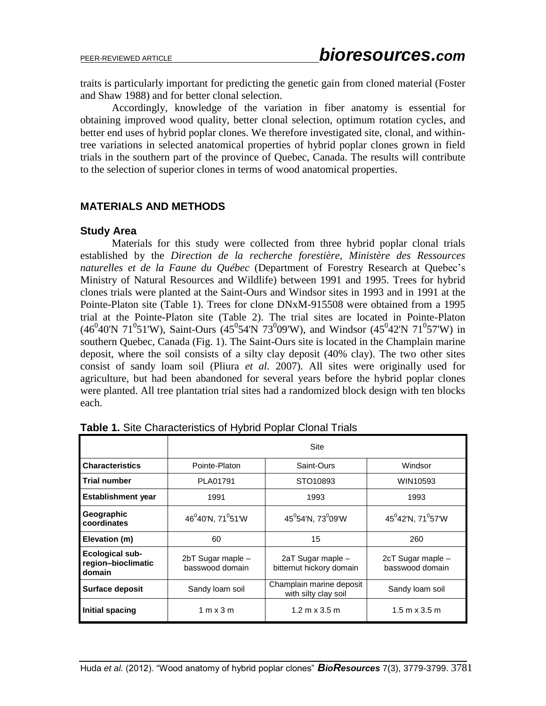traits is particularly important for predicting the genetic gain from cloned material (Foster and Shaw 1988) and for better clonal selection.

Accordingly, knowledge of the variation in fiber anatomy is essential for obtaining improved wood quality, better clonal selection, optimum rotation cycles, and better end uses of hybrid poplar clones. We therefore investigated site, clonal, and withintree variations in selected anatomical properties of hybrid poplar clones grown in field trials in the southern part of the province of Quebec, Canada. The results will contribute to the selection of superior clones in terms of wood anatomical properties.

## **MATERIALS AND METHODS**

## **Study Area**

Materials for this study were collected from three hybrid poplar clonal trials established by the *Direction de la recherche forestière, Ministère des Ressources naturelles et de la Faune du Québec* (Department of Forestry Research at Quebec's Ministry of Natural Resources and Wildlife) between 1991 and 1995. Trees for hybrid clones trials were planted at the Saint-Ours and Windsor sites in 1993 and in 1991 at the Pointe-Platon site (Table 1). Trees for clone DNxM-915508 were obtained from a 1995 trial at the Pointe-Platon site (Table 2). The trial sites are located in Pointe-Platon  $(46^{0}40'N 71^{0}51'W)$ , Saint-Ours  $(45^{0}54'N 73^{0}09'W)$ , and Windsor  $(45^{0}42'N 71^{0}57'W)$  in southern Quebec, Canada (Fig. 1). The Saint-Ours site is located in the Champlain marine deposit, where the soil consists of a silty clay deposit (40% clay). The two other sites consist of sandy loam soil (Pliura *et al.* 2007). All sites were originally used for agriculture, but had been abandoned for several years before the hybrid poplar clones were planted. All tree plantation trial sites had a randomized block design with ten blocks each.

|                                                        | Site                                       |                                                  |                                      |  |  |  |  |  |
|--------------------------------------------------------|--------------------------------------------|--------------------------------------------------|--------------------------------------|--|--|--|--|--|
| <b>Characteristics</b>                                 | Pointe-Platon                              | Saint-Ours                                       | Windsor                              |  |  |  |  |  |
| <b>Trial number</b>                                    | PLA01791                                   | STO10893                                         | WIN10593                             |  |  |  |  |  |
| <b>Establishment year</b>                              | 1991                                       | 1993                                             | 1993                                 |  |  |  |  |  |
| Geographic<br>coordinates                              | 46 <sup>0</sup> 40'N, 71 <sup>0</sup> 51'W | $45^0$ 54'N, 73 $^0$ 09'W                        | $45^042'N$ , 71 $^057'W$             |  |  |  |  |  |
| Elevation (m)                                          | 60                                         | 15                                               | 260                                  |  |  |  |  |  |
| <b>Ecological sub-</b><br>region-bioclimatic<br>domain | 2bT Sugar maple -<br>basswood domain       | 2aT Sugar maple -<br>bitternut hickory domain    | 2cT Sugar maple -<br>basswood domain |  |  |  |  |  |
| <b>Surface deposit</b>                                 | Sandy loam soil                            | Champlain marine deposit<br>with silty clay soil | Sandy loam soil                      |  |  |  |  |  |
| Initial spacing                                        | 1 m x 3 m                                  | $1.2 \text{ m} \times 3.5 \text{ m}$             | $1.5 \text{ m} \times 3.5 \text{ m}$ |  |  |  |  |  |

**Table 1.** Site Characteristics of Hybrid Poplar Clonal Trials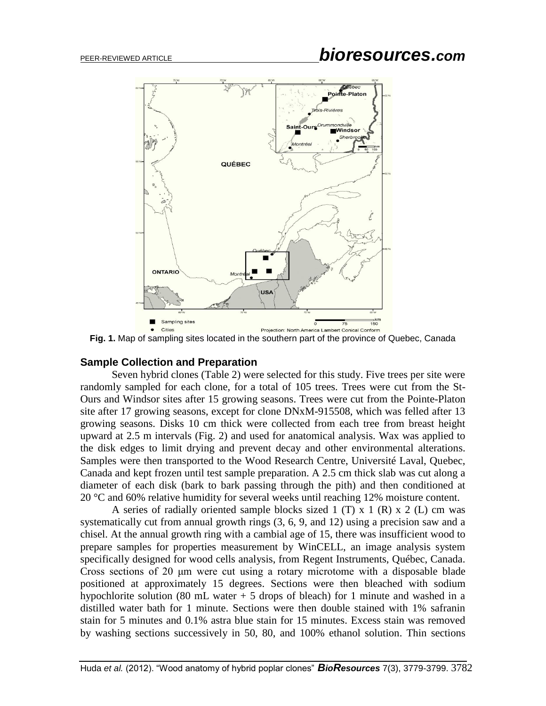

**Fig. 1.** Map of sampling sites located in the southern part of the province of Quebec, Canada

## **Sample Collection and Preparation**

Seven hybrid clones (Table 2) were selected for this study. Five trees per site were randomly sampled for each clone, for a total of 105 trees. Trees were cut from the St-Ours and Windsor sites after 15 growing seasons. Trees were cut from the Pointe-Platon site after 17 growing seasons, except for clone DNxM-915508, which was felled after 13 growing seasons. Disks 10 cm thick were collected from each tree from breast height upward at 2.5 m intervals (Fig. 2) and used for anatomical analysis. Wax was applied to the disk edges to limit drying and prevent decay and other environmental alterations. Samples were then transported to the Wood Research Centre, Université Laval, Quebec, Canada and kept frozen until test sample preparation. A 2.5 cm thick slab was cut along a diameter of each disk (bark to bark passing through the pith) and then conditioned at 20 °C and 60% relative humidity for several weeks until reaching 12% moisture content.

A series of radially oriented sample blocks sized 1 (T) x 1 (R) x 2 (L) cm was systematically cut from annual growth rings (3, 6, 9, and 12) using a precision saw and a chisel. At the annual growth ring with a cambial age of 15, there was insufficient wood to prepare samples for properties measurement by WinCELL, an image analysis system specifically designed for wood cells analysis, from Regent Instruments, Québec, Canada. Cross sections of 20 μm were cut using a rotary microtome with a disposable blade positioned at approximately 15 degrees. Sections were then bleached with sodium hypochlorite solution (80 mL water + 5 drops of bleach) for 1 minute and washed in a distilled water bath for 1 minute. Sections were then double stained with 1% safranin stain for 5 minutes and 0.1% astra blue stain for 15 minutes. Excess stain was removed by washing sections successively in 50, 80, and 100% ethanol solution. Thin sections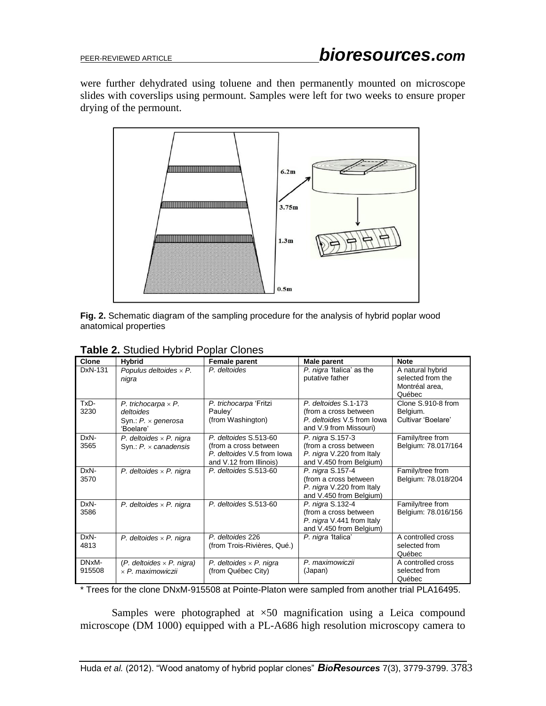were further dehydrated using toluene and then permanently mounted on microscope slides with coverslips using permount. Samples were left for two weeks to ensure proper drying of the permount.



**Fig. 2.** Schematic diagram of the sampling procedure for the analysis of hybrid poplar wood anatomical properties

| Clone           | <b>Hybrid</b>                                                                     | <b>Female parent</b>                                                                                    | Male parent                                                                                           | <b>Note</b>                                                       |
|-----------------|-----------------------------------------------------------------------------------|---------------------------------------------------------------------------------------------------------|-------------------------------------------------------------------------------------------------------|-------------------------------------------------------------------|
| DxN-131         | Populus deltoides $\times$ P.<br>nigra                                            | P. deltoides                                                                                            | P. nigra 1talica' as the<br>putative father                                                           | A natural hybrid<br>selected from the<br>Montréal area,<br>Québec |
| TxD-<br>3230    | P. trichocarpa $\times$ P.<br>deltoides<br>Syn.: $P \times$ generosa<br>'Boelare' | P. trichocarpa 'Fritzi<br>Pauley'<br>(from Washington)                                                  | P. deltoides S.1-173<br>(from a cross between<br>P. deltoides V.5 from lowa<br>and V.9 from Missouri) | Clone S.910-8 from<br>Belgium.<br>Cultivar 'Boelare'              |
| DxN-<br>3565    | P. deltoides $\times$ P. nigra<br>Syn.: $P \times can adensis$                    | P. deltoides S.513-60<br>(from a cross between<br>P. deltoides V.5 from lowa<br>and V.12 from Illinois) | P. nigra S.157-3<br>(from a cross between<br>P. nigra V.220 from Italy<br>and V.450 from Belgium)     | Family/tree from<br>Belgium: 78.017/164                           |
| DxN-<br>3570    | P. deltoides $\times$ P. nigra                                                    | P. deltoides S.513-60                                                                                   | P. nigra S.157-4<br>(from a cross between<br>P. nigra V.220 from Italy<br>and V.450 from Belgium)     | Family/tree from<br>Belgium: 78.018/204                           |
| DxN-<br>3586    | P. deltoides $\times$ P. nigra                                                    | P. deltoides S.513-60                                                                                   | P. nigra S.132-4<br>(from a cross between<br>P. nigra V.441 from Italy<br>and V.450 from Belgium)     | Family/tree from<br>Belgium: 78.016/156                           |
| DxN-<br>4813    | P. deltoides $\times$ P. nigra                                                    | P. deltoides 226<br>(from Trois-Rivières, Qué.)                                                         | P. nigra 1talica'                                                                                     | A controlled cross<br>selected from<br>Québec                     |
| DNxM-<br>915508 | $(P.$ deltoides $\times$ P. nigra)<br>$\times$ P. maximowiczii                    | P. deltoides $\times$ P. nigra<br>(from Québec City)                                                    | P. maximowiczii<br>(Japan)                                                                            | A controlled cross<br>selected from<br>Québec                     |

|  | Table 2. Studied Hybrid Poplar Clones |  |  |
|--|---------------------------------------|--|--|
|--|---------------------------------------|--|--|

\* Trees for the clone DNxM-915508 at Pointe-Platon were sampled from another trial PLA16495.

Samples were photographed at ×50 magnification using a Leica compound microscope (DM 1000) equipped with a PL-A686 high resolution microscopy camera to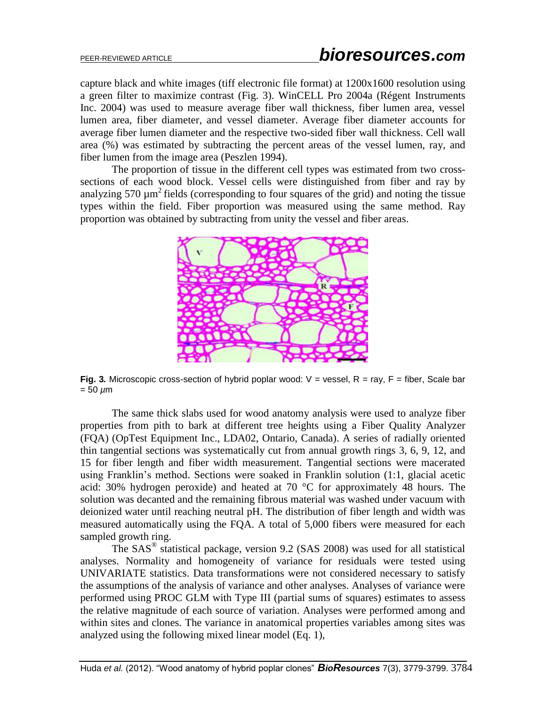capture black and white images (tiff electronic file format) at 1200x1600 resolution using a green filter to maximize contrast (Fig. 3). WinCELL Pro 2004a (Régent Instruments Inc. 2004) was used to measure average fiber wall thickness, fiber lumen area, vessel lumen area, fiber diameter, and vessel diameter. Average fiber diameter accounts for average fiber lumen diameter and the respective two-sided fiber wall thickness. Cell wall area (%) was estimated by subtracting the percent areas of the vessel lumen, ray, and fiber lumen from the image area (Peszlen 1994).

The proportion of tissue in the different cell types was estimated from two crosssections of each wood block. Vessel cells were distinguished from fiber and ray by analyzing 570  $\mu$ m<sup>2</sup> fields (corresponding to four squares of the grid) and noting the tissue types within the field. Fiber proportion was measured using the same method. Ray proportion was obtained by subtracting from unity the vessel and fiber areas.



**Fig. 3.** Microscopic cross-section of hybrid poplar wood:  $V =$  vessel,  $R =$  ray,  $F =$  fiber, Scale bar = 50 *µ*m

The same thick slabs used for wood anatomy analysis were used to analyze fiber properties from pith to bark at different tree heights using a Fiber Quality Analyzer (FQA) (OpTest Equipment Inc., LDA02, Ontario, Canada). A series of radially oriented thin tangential sections was systematically cut from annual growth rings 3, 6, 9, 12, and 15 for fiber length and fiber width measurement. Tangential sections were macerated using Franklin's method. Sections were soaked in Franklin solution (1:1, glacial acetic acid: 30% hydrogen peroxide) and heated at 70 °C for approximately 48 hours. The solution was decanted and the remaining fibrous material was washed under vacuum with deionized water until reaching neutral pH. The distribution of fiber length and width was measured automatically using the FQA. A total of 5,000 fibers were measured for each sampled growth ring.

The SAS® statistical package, version 9.2 (SAS 2008) was used for all statistical analyses. Normality and homogeneity of variance for residuals were tested using UNIVARIATE statistics. Data transformations were not considered necessary to satisfy the assumptions of the analysis of variance and other analyses. Analyses of variance were performed using PROC GLM with Type III (partial sums of squares) estimates to assess the relative magnitude of each source of variation. Analyses were performed among and within sites and clones. The variance in anatomical properties variables among sites was analyzed using the following mixed linear model (Eq. 1),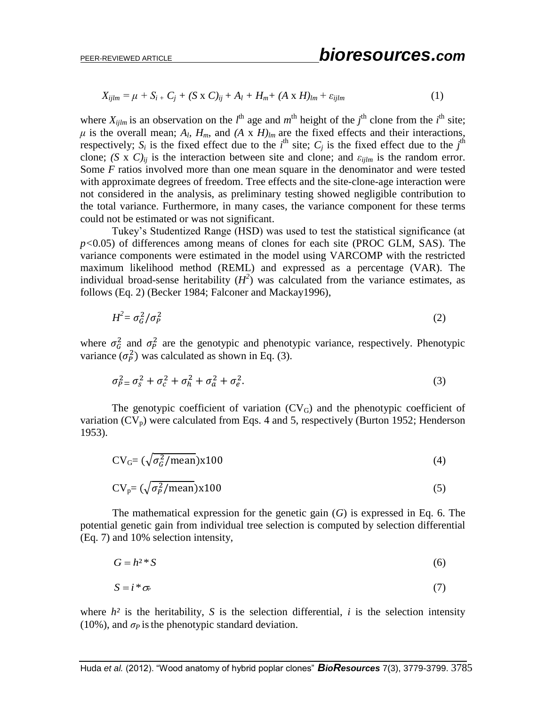$$
X_{ijlm} = \mu + S_{i} + C_j + (S \times C)_{ij} + A_l + H_m + (A \times H)_{lm} + \varepsilon_{ijlm}
$$
\n
$$
\tag{1}
$$

where  $X_{ijlm}$  is an observation on the  $l^{\text{th}}$  age and  $m^{\text{th}}$  height of the  $j^{\text{th}}$  clone from the  $i^{\text{th}}$  site;  $\mu$  is the overall mean;  $A_l$ ,  $H_m$ , and  $(A \times H)_{lm}$  are the fixed effects and their interactions, respectively;  $S_i$  is the fixed effect due to the *i*<sup>th</sup> site;  $C_j$  is the fixed effect due to the *j*<sup>th</sup> clone; *(S x C)<sub>ij</sub>* is the interaction between site and clone; and  $\varepsilon_{\text{film}}$  is the random error. Some *F* ratios involved more than one mean square in the denominator and were tested with approximate degrees of freedom. Tree effects and the site-clone-age interaction were not considered in the analysis, as preliminary testing showed negligible contribution to the total variance. Furthermore, in many cases, the variance component for these terms could not be estimated or was not significant.

Tukey's Studentized Range (HSD) was used to test the statistical significance (at *p<*0.05) of differences among means of clones for each site (PROC GLM, SAS). The variance components were estimated in the model using VARCOMP with the restricted maximum likelihood method (REML) and expressed as a percentage (VAR). The individual broad-sense heritability  $(H^2)$  was calculated from the variance estimates, as follows (Eq. 2) (Becker 1984; Falconer and Mackay1996),

$$
H^2 = \sigma_G^2 / \sigma_P^2 \tag{2}
$$

where  $\sigma_G^2$  and  $\sigma_P^2$  are the genotypic and phenotypic variance, respectively. Phenotypic variance  $(\sigma_p^2)$  was calculated as shown in Eq. (3).

$$
\sigma_{P}^2 = \sigma_s^2 + \sigma_c^2 + \sigma_h^2 + \sigma_a^2 + \sigma_e^2. \tag{3}
$$

The genotypic coefficient of variation  $(CV_G)$  and the phenotypic coefficient of variation  $(CV_p)$  were calculated from Eqs. 4 and 5, respectively (Burton 1952; Henderson 1953).

$$
CVG = (\sqrt{\sigma_G^2/mean}) \times 100
$$
 (4)

$$
CV_p = (\sqrt{\sigma_p^2 / \text{mean}}) \times 100
$$
 (5)

The mathematical expression for the genetic gain (*G*) is expressed in Eq. 6. The potential genetic gain from individual tree selection is computed by selection differential (Eq. 7) and 10% selection intensity,

$$
G = h^{2} * S \tag{6}
$$

$$
S = i^* \sigma_{\!F} \tag{7}
$$

where  $h^2$  is the heritability, *S* is the selection differential, *i* is the selection intensity (10%), and  $\sigma_P$  is the phenotypic standard deviation.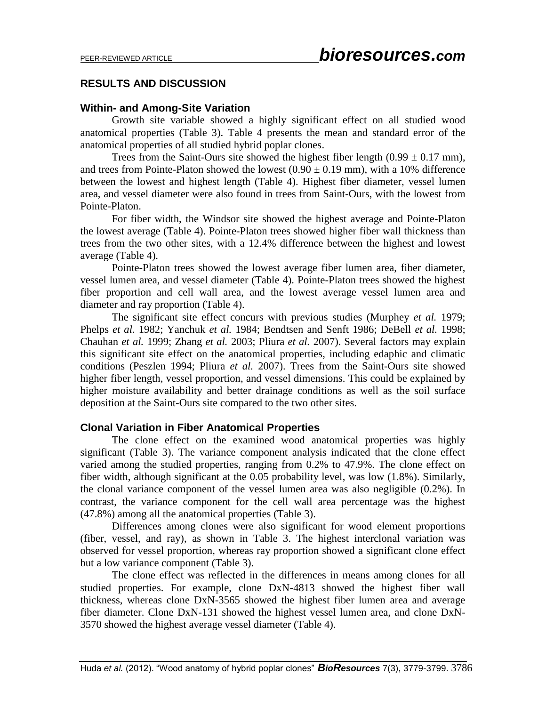## **RESULTS AND DISCUSSION**

## **Within- and Among-Site Variation**

Growth site variable showed a highly significant effect on all studied wood anatomical properties (Table 3). Table 4 presents the mean and standard error of the anatomical properties of all studied hybrid poplar clones.

Trees from the Saint-Ours site showed the highest fiber length  $(0.99 \pm 0.17 \text{ mm})$ , and trees from Pointe-Platon showed the lowest  $(0.90 \pm 0.19 \text{ mm})$ , with a 10% difference between the lowest and highest length (Table 4). Highest fiber diameter, vessel lumen area, and vessel diameter were also found in trees from Saint-Ours, with the lowest from Pointe-Platon.

For fiber width, the Windsor site showed the highest average and Pointe-Platon the lowest average (Table 4). Pointe-Platon trees showed higher fiber wall thickness than trees from the two other sites, with a 12.4% difference between the highest and lowest average (Table 4).

Pointe-Platon trees showed the lowest average fiber lumen area, fiber diameter, vessel lumen area, and vessel diameter (Table 4). Pointe-Platon trees showed the highest fiber proportion and cell wall area, and the lowest average vessel lumen area and diameter and ray proportion (Table 4).

The significant site effect concurs with previous studies (Murphey *et al.* 1979; Phelps *et al.* 1982; Yanchuk *et al.* 1984; Bendtsen and Senft 1986; DeBell *et al.* 1998; Chauhan *et al.* 1999; Zhang *et al.* 2003; Pliura *et al.* 2007). Several factors may explain this significant site effect on the anatomical properties, including edaphic and climatic conditions (Peszlen 1994; Pliura *et al.* 2007). Trees from the Saint-Ours site showed higher fiber length, vessel proportion, and vessel dimensions. This could be explained by higher moisture availability and better drainage conditions as well as the soil surface deposition at the Saint-Ours site compared to the two other sites.

## **Clonal Variation in Fiber Anatomical Properties**

The clone effect on the examined wood anatomical properties was highly significant (Table 3). The variance component analysis indicated that the clone effect varied among the studied properties, ranging from 0.2% to 47.9%. The clone effect on fiber width, although significant at the 0.05 probability level, was low (1.8%). Similarly, the clonal variance component of the vessel lumen area was also negligible (0.2%). In contrast, the variance component for the cell wall area percentage was the highest (47.8%) among all the anatomical properties (Table 3).

Differences among clones were also significant for wood element proportions (fiber, vessel, and ray), as shown in Table 3. The highest interclonal variation was observed for vessel proportion, whereas ray proportion showed a significant clone effect but a low variance component (Table 3).

The clone effect was reflected in the differences in means among clones for all studied properties. For example, clone DxN-4813 showed the highest fiber wall thickness, whereas clone DxN-3565 showed the highest fiber lumen area and average fiber diameter. Clone DxN-131 showed the highest vessel lumen area, and clone DxN-3570 showed the highest average vessel diameter (Table 4).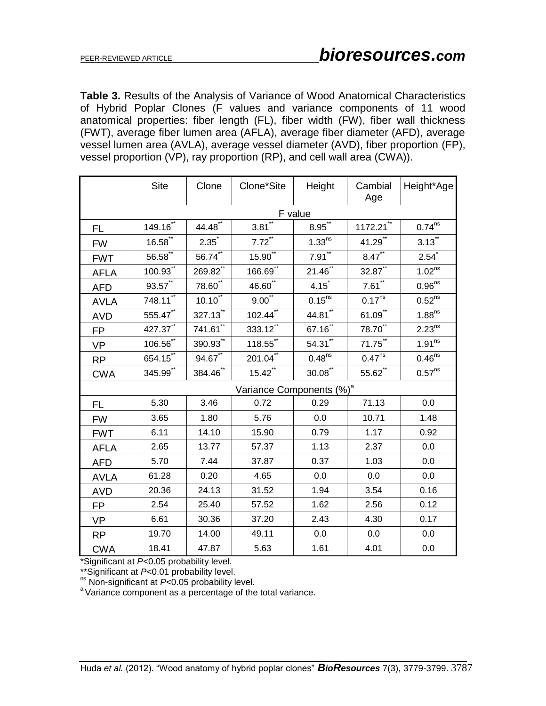**Table 3.** Results of the Analysis of Variance of Wood Anatomical Characteristics of Hybrid Poplar Clones (F values and variance components of 11 wood anatomical properties: fiber length (FL), fiber width (FW), fiber wall thickness (FWT), average fiber lumen area (AFLA), average fiber diameter (AFD), average vessel lumen area (AVLA), average vessel diameter (AVD), fiber proportion (FP), vessel proportion (VP), ray proportion (RP), and cell wall area (CWA)).

|             | <b>Site</b>            | Clone                  | Clone*Site                           | Height                | Cambial<br>Age         | Height*Age             |  |  |  |  |
|-------------|------------------------|------------------------|--------------------------------------|-----------------------|------------------------|------------------------|--|--|--|--|
|             | F value                |                        |                                      |                       |                        |                        |  |  |  |  |
| FL          | 149.16"                | $44.48$ <sup>**</sup>  | $3.81$ <sup>**</sup>                 | $8.95^{11}$           | 1172.21"               | 0.74 <sup>ns</sup>     |  |  |  |  |
| <b>FW</b>   | $16.58^{11}$           | $2.35^{\degree}$       | $7.72$ <sup>**</sup>                 | 1.33 <sup>ns</sup>    | 41.29**                | $3.13$ "               |  |  |  |  |
| <b>FWT</b>  | $56.58$ **             | $56.74$ **             | $15.90^{**}$                         | $7.91$ <sup>**</sup>  | $8.47$ **              | 2.54                   |  |  |  |  |
| <b>AFLA</b> | $100.93^{**}$          | $269.82$ <sup>**</sup> | $\frac{166.69^{**}}{5}$              | $21.46^{**}$          | $32.87$ <sup>**</sup>  | 1.02 <sup>ns</sup>     |  |  |  |  |
| <b>AFD</b>  | $93.57$ **             | 78.60**                | 46.60**                              | 4.15                  | $7.61$ **              | 0.96 <sup>ns</sup>     |  |  |  |  |
| <b>AVLA</b> | $748.11$ <sup>**</sup> | $10.10^{11}$           | $9.00^{**}$                          | $0.15^{ns}$           | $0.17^{\overline{ns}}$ | $0.52$ <sup>ns</sup>   |  |  |  |  |
| <b>AVD</b>  | 555.47                 | 327.13                 | $102.\overline{44}^{**}$             | $44.81$ <sup>**</sup> | $61.09$ <sup>**</sup>  | 1.88 <sup>ns</sup>     |  |  |  |  |
| <b>FP</b>   | 427.37**               | $741.61$ <sup>**</sup> | 333.12                               | $67.16$ **            | 78.70**                | $2.23^{ns}$            |  |  |  |  |
| <b>VP</b>   | $106.56$ **            | $390.93^{11}$          | $\overline{118.55}^{**}$             | $54.31$ <sup>**</sup> | 71.75                  | 1.91 <sup>ns</sup>     |  |  |  |  |
| <b>RP</b>   | 654.15                 | $94.67$ <sup>**</sup>  | $201.04$ **                          | $0.48^{ns}$           | 0.47 <sup>ns</sup>     | $0.46^{\overline{ns}}$ |  |  |  |  |
| <b>CWA</b>  | 345.99*                | 384.46'''              | 15.42                                | $30.08^{**}$          | 55.62                  | 0.57 <sup>ns</sup>     |  |  |  |  |
|             |                        |                        | Variance Components (%) <sup>a</sup> |                       |                        |                        |  |  |  |  |
| <b>FL</b>   | 5.30                   | 3.46                   | 0.72                                 | 0.29                  | 71.13                  | 0.0                    |  |  |  |  |
| <b>FW</b>   | 3.65                   | 1.80                   | 5.76                                 | 0.0                   | 10.71                  | 1.48                   |  |  |  |  |
| <b>FWT</b>  | 6.11                   | 14.10                  | 15.90                                | 0.79                  | 1.17                   | 0.92                   |  |  |  |  |
| <b>AFLA</b> | 2.65                   | 13.77                  | 57.37                                | 1.13                  | 2.37                   | 0.0                    |  |  |  |  |
| <b>AFD</b>  | 5.70                   | 7.44                   | 37.87                                | 0.37                  | 1.03                   | 0.0                    |  |  |  |  |
| <b>AVLA</b> | 61.28                  | 0.20                   | 4.65                                 | 0.0                   | 0.0                    | 0.0                    |  |  |  |  |
| <b>AVD</b>  | 20.36                  | 24.13                  | 31.52                                | 1.94                  | 3.54                   | 0.16                   |  |  |  |  |
| <b>FP</b>   | 2.54                   | 25.40                  | 57.52                                | 1.62                  | 2.56                   | 0.12                   |  |  |  |  |
| <b>VP</b>   | 6.61                   | 30.36                  | 37.20                                | 2.43                  | 4.30                   | 0.17                   |  |  |  |  |
| <b>RP</b>   | 19.70                  | 14.00                  | 49.11                                | 0.0                   | 0.0                    | 0.0                    |  |  |  |  |
| <b>CWA</b>  | 18.41                  | 47.87                  | 5.63                                 | 1.61                  | 4.01                   | 0.0                    |  |  |  |  |

\*Significant at *P<*0.05 probability level.

\*\*Significant at *P<*0.01 probability level.

ns Non-significant at *P<*0.05 probability level.

<sup>a</sup> Variance component as a percentage of the total variance.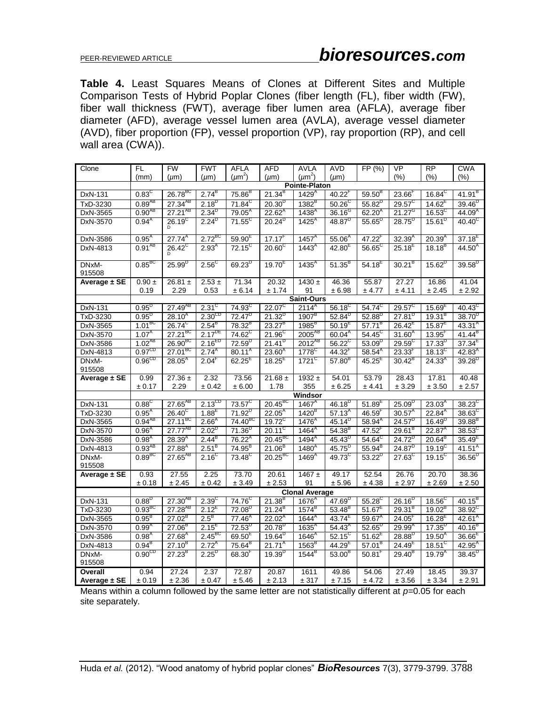## PEER-REVIEWED ARTICLE *bioresources.com*

**Table 4.** Least Squares Means of Clones at Different Sites and Multiple Comparison Tests of Hybrid Poplar Clones (fiber length (FL), fiber width (FW), fiber wall thickness (FWT), average fiber lumen area (AFLA), average fiber diameter (AFD), average vessel lumen area (AVLA), average vessel diameter (AVD), fiber proportion (FP), vessel proportion (VP), ray proportion (RP), and cell wall area (CWA)).

| Clone                   | FL.                          | <b>FW</b>                   | <b>FWT</b>           | <b>AFLA</b>                              | <b>AFD</b>                         | <b>AVLA</b>                     | <b>AVD</b>                         | FP (%)                            | <b>VP</b>                          | <b>RP</b>                  | <b>CWA</b>                         |  |
|-------------------------|------------------------------|-----------------------------|----------------------|------------------------------------------|------------------------------------|---------------------------------|------------------------------------|-----------------------------------|------------------------------------|----------------------------|------------------------------------|--|
|                         | (mm)                         | $(\mu m)$                   | $(\mu m)$            | $(\mu m^2)$                              | $(\mu m)$                          | $(\mu m^2)$                     | $(\mu m)$                          |                                   | (%)                                | (%)                        | (% )                               |  |
|                         | <b>Pointe-Platon</b>         |                             |                      |                                          |                                    |                                 |                                    |                                   |                                    |                            |                                    |  |
| DxN-131                 | $0.83^\circ$                 | 26.78 <sup>BC</sup>         | $2.74^{B}$           | $75.86^{B}$                              | $21.34^{B}$                        | 1429 <sup>A</sup>               | 40.22 <sup>F</sup>                 | $59.50^{B}$                       | $23.66$ <sup>F</sup>               | $16.84^C$                  | $41.91^{B}$                        |  |
| TxD-3230                | $0.89^{AB}$                  | $27.34^{AB}$                | $2.18^{D}$           | $71.84^{\circ}$                          | $20.30^{D}$                        | $1382^B$                        | $50.26^\circ$                      | $55.82^{D}$                       | $29.57^{\circ}$                    | $14.62^E$                  | $39.46^{D}$                        |  |
| DxN-3565                | $0.90^{AB}$                  | $27.21^{AB}$                | $2.34^{D}$           | $79.05^A$                                | $22.62^{A}$                        | 1438 <sup>A</sup>               | $36.16^{G}$                        | $62.20^{A}$                       | $21.27^{\circ}$                    | $16.53^{\circ}$            | $44.09^{A}$                        |  |
| DxN-3570                | $0.94^{\text{A}}$            | $26.19^{\circ}$             | $2.24^{D}$           | $71.55^{\circ}$                          | $20.24^{D}$                        | $1425^A$                        | $48.87^{D}$                        | $55.65^{\circ}$                   | $28.75^{D}$                        | $15.61^{D}$                | $40.40^\circ$                      |  |
| DxN-3586                | $0.95^{\text{A}}$            | $27.74^{A}$                 | $2.72^{BC}$          | $59.90^{\circ}$                          | 17.17 <sup>F</sup>                 | 1457 <sup>A</sup>               | $55.06^{A}$                        | 47.22 <sup>r</sup>                | $32.39^{A}$                        | $20.39^{A}$                | $37.18^{E}$                        |  |
| DxN-4813                | $0.91^{AB}$                  | $26.42^{\circ}$             | $2.93^{A}$           | $72.15^{\circ}$                          | $20.60^\circ$                      | $1443^{A}$                      | $42.80^{E}$                        | $56.65^{\circ}$                   | $25.18^{E}$                        | $18.18^{B}$                | $44.50^{A}$                        |  |
| DNxM-                   | $0.85$ <sup>BC</sup>         | $25.99^{D}$                 | $2.56^\circ$         | $69.23^{D}$                              | $19.70^{E}$                        | 1435 <sup>A</sup>               | $51.35^{B}$                        | $54.18^{E}$                       | $30.21^{B}$                        | $15.62^{D}$                | $39.58^{D}$                        |  |
| 915508                  |                              |                             |                      |                                          |                                    |                                 |                                    |                                   |                                    |                            |                                    |  |
| Average ± SE            | $0.90 \ \pm$                 | 26.81 $\pm$                 | $2.53 \pm$           | 71.34                                    | 20.32                              | $1430 +$                        | 46.36                              | 55.87                             | 27.27                              | 16.86                      | 41.04                              |  |
|                         | 0.19                         | 2.29                        | 0.53                 | ± 6.14                                   | ± 1.74                             | 91                              | ± 6.98                             | ± 4.77                            | ± 4.11                             | ± 2.45                     | ± 2.92                             |  |
|                         |                              |                             | $2.31^\circ$         |                                          |                                    | Saint-Ours                      |                                    |                                   |                                    |                            |                                    |  |
| DxN-131<br>TxD-3230     | $0.95^{D}$<br>$0.95^{\circ}$ | $27.49^{AB}$<br>$28.10^{A}$ | $2.30^{\mathrm{CD}}$ | 74.93 <sup>C</sup><br>72.47 <sup>D</sup> | $22.07^{\circ}$<br>$21.32^{\circ}$ | $2114^{A}$<br>1907 <sup>8</sup> | $56.18^{\circ}$<br>$52.84^{\circ}$ | 54.74 <sup>C</sup><br>$52.88^{D}$ | $29.57^{\circ}$<br>$27.81^{\circ}$ | $15.69^{E}$<br>$19.31^{B}$ | $40.43^{\circ}$<br>$38.70^{\circ}$ |  |
| DxN-3565                | $1.01^{BC}$                  | $26.74^{\circ}$             | $2.54^{\circ}$       | 78.32 <sup>B</sup>                       | $23.27^{B}$                        | $1985^B$                        | $50.19^{E}$                        | $57.71^B$                         | $26.42^E$                          | $15.87^E$                  | $43.31^{A}$                        |  |
| DxN-3570                | $1.07^{\text{A}}$            | $27.21^{BC}$                | $2.17^{DE}$          | 74.62 <sup>C</sup>                       | $21.96^{\circ}$                    | 2005 <sup>AB</sup>              | $60.04^{\text{A}}$                 | $54.45^{\circ}$                   | $31.60^{A}$                        | $13.95^F$                  | $41.44^{B}$                        |  |
| DxN-3586                | $1.02^{AB}$                  | 26.90 <sup>BC</sup>         | $2.16^{ED}$          | $72.59^{b}$                              | $21.41^{D}$                        | $2012^{AB}$                     | $56.22^{\circ}$                    | $53.09^{D}$                       | $29.59^\circ$                      | $17.33^{\circ}$            | $37.34^E$                          |  |
| DxN-4813                | 0.97 <sup>CD</sup>           | $27.01^{BC}$                | $2.74^{A}$           | $80.11^A$                                | $23.60^{A}$                        | $1778$ <sup>C</sup>             | $44.32$ <sup>F</sup>               | $58.54^{A}$                       | $23.33^{F}$                        | $18.13^C$                  | $42.83^{A}$                        |  |
| DNxM-                   | 0.96 <sup>CD</sup>           | $28.05^{A}$                 | $2.04^+$             | $62.25^{E}$                              | $18.25^E$                          | $1721$ <sup>C</sup>             | $57.80^{B}$                        | $45.25^E$                         | $30.42^{B}$                        | $24.33^{A}$                | $39.28^{D}$                        |  |
| 915508                  |                              |                             |                      |                                          |                                    |                                 |                                    |                                   |                                    |                            |                                    |  |
| Average ± SE            | 0.99                         | 27.36 $\pm$                 | 2.32                 | 73.56                                    | 21.68 $\pm$                        | 1932 $\pm$                      | 54.01                              | 53.79                             | 28.43                              | 17.81                      | 40.48                              |  |
|                         | ± 0.17                       | 2.29                        | ± 0.42               | ± 6.00                                   | 1.78                               | 355                             | ± 6.25                             | ± 4.41                            | ± 3.29                             | ± 3.50                     | ± 2.57                             |  |
|                         | Windsor                      |                             |                      |                                          |                                    |                                 |                                    |                                   |                                    |                            |                                    |  |
|                         |                              |                             |                      |                                          | $20.45^{BC}$                       |                                 | $46.18^{D}$                        | $51.89^{E}$                       | $25.09^{\circ}$                    | $23.03^{A}$                | $38.23^{\circ}$                    |  |
| DxN-131                 | $0.88^\circ$                 | $27.65^{AB}$                | $2.13^{\text{CD}}$   | $73.57^\circ$                            |                                    | $1467^{\text{A}}$               |                                    |                                   |                                    |                            |                                    |  |
| TxD-3230                | $0.95^{A}$                   | $26.40^{\circ}$             | $1.88^{E}$           | $71.92^{D}$                              | $22.05^A$                          | 1420 <sup>B</sup>               | $57.13^{A}$                        | $46.59$ <sup>'</sup>              | $30.57^A$                          | $22.84^{A}$                | $38.63^\circ$                      |  |
| DxN-3565                | $0.94^{AB}$                  | $27.11^{BC}$                | 2.66 <sup>A</sup>    | $74.40^{BC}$                             | $19.72^{\circ}$                    | $1476^{A}$                      | $45.14^{D}$                        | $58.94^{A}$                       | $24.57^{D}$                        | $16.49^{D}$                | $39.88^{B}$                        |  |
| DxN-3570                | $0.96^{A}$                   | $27.77^{AB}$                | $2.02^{D}$           | $71.36^{D}$                              | $20.11^{\circ}$                    | $1464^{A}$                      | $54.38^{B}$                        | $47.52$ <sup>F</sup>              | $29.61^B$                          | $22.87^A$                  | $38.53^{\circ}$                    |  |
| DxN-3586                | $0.98^{A}$                   | $28.39^{A}$                 | $2.44^{B}$           | $76.22^A$                                | $20.45^{BC}$                       | $1494^{A}$                      | $45.43^{D}$                        | $54.64^{\circ}$                   | $24.72^{D}$                        | $20.64^{B}$                | $35.49^{E}$                        |  |
| DxN-4813                | $0.93^{AB}$                  | $27.88^{A}$                 | $2.51^{B}$           | 74.95 <sup>B</sup>                       | $21.06^{B}$                        | $1480^{4}$                      | $\frac{45}{75}$ <sup>D</sup>       | $55.94^{B}$                       | $24.87^{D}$                        | $19.19^{\circ}$            | $41.51^A$                          |  |
| DNxM-<br>915508         | 0.89 <sup>BC</sup>           | $27.65^{AB}$                | $2.16^{\circ}$       | 73.48 <sup>C</sup>                       | $20.25^{BC}$                       | $1469^{A}$                      | $49.73^{\circ}$                    | $53.22^{D}$                       | $27.63^{\circ}$                    | $19.15^{\circ}$            | $36.56^{D}$                        |  |
| Average ± SE            | 0.93                         | 27.55                       | 2.25                 | 73.70                                    | 20.61                              | 1467 $\pm$                      | 49.17                              | 52.54                             | 26.76                              | 20.70                      | 38.36                              |  |
|                         | ± 0.18                       | ± 2.45                      | ± 0.42               | ± 3.49                                   | ± 2.53                             | 91                              | ± 5.96                             | ± 4.38                            | ± 2.97                             | ± 2.69                     | ± 2.50                             |  |
|                         |                              |                             |                      |                                          |                                    | <b>Clonal Average</b>           |                                    |                                   |                                    |                            |                                    |  |
| DxN-131                 | 0.88 <sup>D</sup>            | $27.30^{AB}$                | 2.39 <sup>c</sup>    | 74.76 <sup>C</sup>                       | $21.38^{B}$                        | $1676^A$                        | $47.69^{D}$                        | $55.28$ <sup>C</sup>              | $26.16^{D}$                        | $18.56^{\circ}$            | $40.15^{B}$                        |  |
| TxD-3230                | 0.93 <sup>BC</sup>           | $27.28^{AB}$                | $2.12^{\circ}$       | $72.08^{D}$                              | $21.24^{B}$                        | $1574^{B}$                      | $53.48^{B}$                        | $51.67^E$                         | $29.31^{B}$                        | $19.02^{\circ}$            | $38.92^{\circ}$                    |  |
| DxN-3565                | $0.95^{B}$                   | $27.02^{B}$                 | $2.5^{\circ}$        | $77.46^{A}$                              | $22.02^{A}$                        | $1644^{\circ}$                  | $43.74^{E}$                        | $59.67^A$                         | $24.05$ <sup>F</sup>               | $16.28^{E}$                | $42.61^A$                          |  |
| DxN-3570                | $0.99^{A}$                   | $27.06^B$                   | $2.15^{E}$           | $72.53^{D}$                              | $20.78^{D}$                        | $1635^{A}$                      | $54.43^{A}$                        | $52.65^{D}$                       | $29.99^{\text{A}}$                 | $17.35^{D}$                | $40.16^{B}$                        |  |
| DxN-3586                | $0.98^{A}$                   | $27.68^{A}$                 | $2.45^{BC}$          | $69.50^{E}$                              | $19.64^{D}$                        | $1646^{A}$                      | $52.15^{\circ}$                    | $51.62^E$                         | $28.88^{D}$                        | $19.50^{A}$                | $36.66^{\text{h}}$                 |  |
| DxN-4813                | $0.94^{B}$                   | $27.10^{B}$                 | $2.72^{A}$           | $75.64^B$                                | $21.71^{A}$                        | 1563 <sup>B</sup>               | $44.29$ <sup>E</sup>               | $57.01^{B}$                       | $24.49^{\text{E}}$                 | $18.51^{\circ}$            | $42.95^{A}$                        |  |
| DNxM-<br>915508         | 0.90 <sup>CD</sup>           | $27.23^{B}$                 | $2.25^{D}$           | 68.30 <sup>r</sup>                       | $19.39^{D}$                        | $1544^{\circ}$                  | $53.00^{B}$                        | $50.81^{\circ}$                   | $29.40^{8}$                        | $19.79^{A}$                | $38.45^{D}$                        |  |
| Overall<br>Average ± SE | 0.94<br>$\pm$ 0.19           | 27.24<br>± 2.36             | 2.37<br>± 0.47       | 72.87<br>$\pm$ 5.46                      | 20.87<br>± 2.13                    | 1611<br>$\pm$ 317               | 49.86<br>± 7.15                    | 54.06<br>± 4.72                   | 27.49<br>± 3.56                    | 18.45<br>± 3.34            | 39.37<br>± 2.91                    |  |

Means within a column followed by the same letter are not statistically different at *p=*0.05 for each site separately.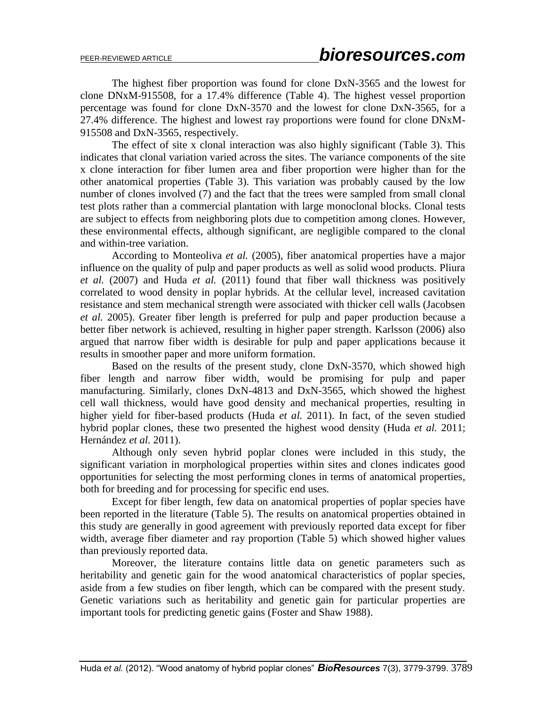The highest fiber proportion was found for clone DxN-3565 and the lowest for clone DNxM-915508, for a 17.4% difference (Table 4). The highest vessel proportion percentage was found for clone DxN-3570 and the lowest for clone DxN-3565, for a 27.4% difference. The highest and lowest ray proportions were found for clone DNxM-915508 and DxN-3565, respectively.

The effect of site x clonal interaction was also highly significant (Table 3). This indicates that clonal variation varied across the sites. The variance components of the site x clone interaction for fiber lumen area and fiber proportion were higher than for the other anatomical properties (Table 3). This variation was probably caused by the low number of clones involved (7) and the fact that the trees were sampled from small clonal test plots rather than a commercial plantation with large monoclonal blocks. Clonal tests are subject to effects from neighboring plots due to competition among clones. However, these environmental effects, although significant, are negligible compared to the clonal and within-tree variation.

According to Monteoliva *et al.* (2005), fiber anatomical properties have a major influence on the quality of pulp and paper products as well as solid wood products. Pliura *et al.* (2007) and Huda *et al.* (2011) found that fiber wall thickness was positively correlated to wood density in poplar hybrids. At the cellular level, increased cavitation resistance and stem mechanical strength were associated with thicker cell walls (Jacobsen *et al.* 2005). Greater fiber length is preferred for pulp and paper production because a better fiber network is achieved, resulting in higher paper strength. Karlsson (2006) also argued that narrow fiber width is desirable for pulp and paper applications because it results in smoother paper and more uniform formation.

Based on the results of the present study, clone DxN-3570, which showed high fiber length and narrow fiber width, would be promising for pulp and paper manufacturing. Similarly, clones DxN-4813 and DxN-3565, which showed the highest cell wall thickness, would have good density and mechanical properties, resulting in higher yield for fiber-based products (Huda *et al.* 2011). In fact, of the seven studied hybrid poplar clones, these two presented the highest wood density (Huda *et al.* 2011; Hernández *et al.* 2011).

Although only seven hybrid poplar clones were included in this study, the significant variation in morphological properties within sites and clones indicates good opportunities for selecting the most performing clones in terms of anatomical properties, both for breeding and for processing for specific end uses.

Except for fiber length, few data on anatomical properties of poplar species have been reported in the literature (Table 5). The results on anatomical properties obtained in this study are generally in good agreement with previously reported data except for fiber width, average fiber diameter and ray proportion (Table 5) which showed higher values than previously reported data.

Moreover, the literature contains little data on genetic parameters such as heritability and genetic gain for the wood anatomical characteristics of poplar species, aside from a few studies on fiber length, which can be compared with the present study. Genetic variations such as heritability and genetic gain for particular properties are important tools for predicting genetic gains (Foster and Shaw 1988).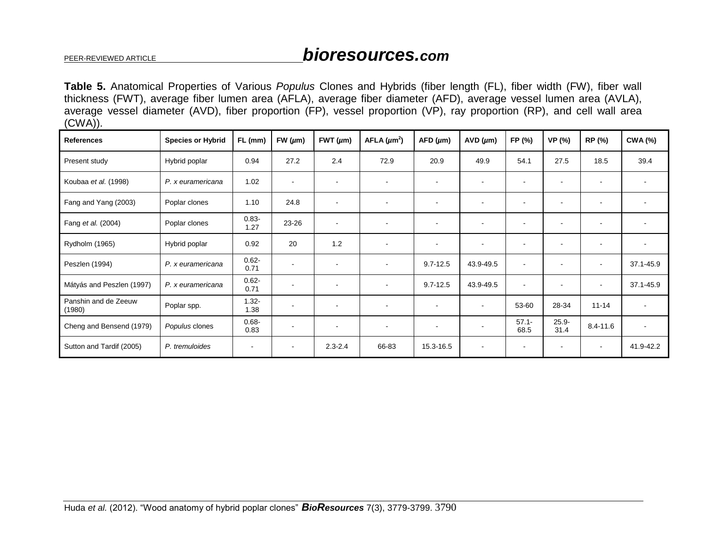# PEER-REVIEWED ARTICLE *bioresources.com*

**Table 5.** Anatomical Properties of Various *Populus* Clones and Hybrids (fiber length (FL), fiber width (FW), fiber wall thickness (FWT), average fiber lumen area (AFLA), average fiber diameter (AFD), average vessel lumen area (AVLA), average vessel diameter (AVD), fiber proportion (FP), vessel proportion (VP), ray proportion (RP), and cell wall area (CWA)).

| <b>References</b>              | <b>Species or Hybrid</b> | FL (mm)          | FW $(\mu m)$             | FWT $(\mu m)$            | AFLA $(\mu m^2)$         | AFD (µm)                 | AVD (µm)                 | FP (%)           | VP (%)           | RP (%)                   | <b>CWA (%)</b> |
|--------------------------------|--------------------------|------------------|--------------------------|--------------------------|--------------------------|--------------------------|--------------------------|------------------|------------------|--------------------------|----------------|
| Present study                  | Hybrid poplar            | 0.94             | 27.2                     | 2.4                      | 72.9                     | 20.9                     | 49.9                     | 54.1             | 27.5             | 18.5                     | 39.4           |
| Koubaa et al. (1998)           | P. x euramericana        | 1.02             | $\sim$                   | $\blacksquare$           |                          |                          |                          |                  | $\blacksquare$   |                          |                |
| Fang and Yang (2003)           | Poplar clones            | 1.10             | 24.8                     |                          |                          | $\overline{\phantom{a}}$ |                          | $\blacksquare$   |                  | $\overline{\phantom{a}}$ |                |
| Fang et al. (2004)             | Poplar clones            | $0.83 -$<br>1.27 | 23-26                    | $\overline{\phantom{a}}$ |                          | $\overline{\phantom{a}}$ |                          | $\blacksquare$   |                  | $\overline{\phantom{a}}$ | $\blacksquare$ |
| Rydholm (1965)                 | Hybrid poplar            | 0.92             | 20                       | 1.2                      |                          | $\overline{\phantom{a}}$ |                          | $\blacksquare$   | $\blacksquare$   | $\overline{\phantom{a}}$ | $\sim$         |
| Peszlen (1994)                 | P. x euramericana        | $0.62 -$<br>0.71 | $\sim$                   | $\blacksquare$           |                          | $9.7 - 12.5$             | 43.9-49.5                | $\blacksquare$   | $\blacksquare$   | $\sim$                   | 37.1-45.9      |
| Mátyás and Peszlen (1997)      | P. x euramericana        | $0.62 -$<br>0.71 | $\overline{\phantom{a}}$ | $\blacksquare$           | $\overline{\phantom{a}}$ | $9.7 - 12.5$             | 43.9-49.5                | $\blacksquare$   | $\blacksquare$   | $\overline{\phantom{a}}$ | 37.1-45.9      |
| Panshin and de Zeeuw<br>(1980) | Poplar spp.              | $1.32 -$<br>1.38 | $\overline{\phantom{a}}$ |                          |                          | $\overline{\phantom{a}}$ | $\overline{\phantom{a}}$ | 53-60            | 28-34            | $11 - 14$                | $\sim$         |
| Cheng and Bensend (1979)       | Populus clones           | $0.68 -$<br>0.83 | $\overline{\phantom{a}}$ | $\blacksquare$           |                          | $\overline{\phantom{a}}$ |                          | $57.1 -$<br>68.5 | $25.9 -$<br>31.4 | $8.4 - 11.6$             | $\sim$         |
| Sutton and Tardif (2005)       | P. tremuloides           |                  |                          | $2.3 - 2.4$              | 66-83                    | 15.3-16.5                |                          |                  |                  | $\blacksquare$           | 41.9-42.2      |

Huda *et al.* (2012). "Wood anatomy of hybrid poplar clones" *BioResources* 7(3), 3779-3799. 3790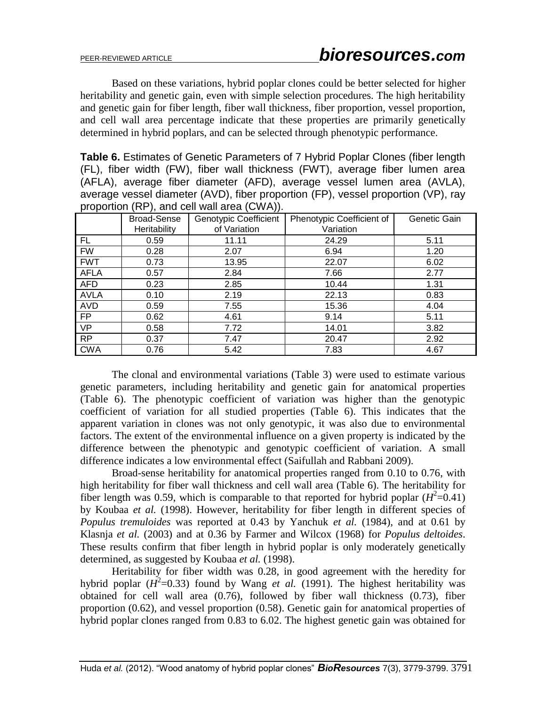Based on these variations, hybrid poplar clones could be better selected for higher heritability and genetic gain, even with simple selection procedures. The high heritability and genetic gain for fiber length, fiber wall thickness, fiber proportion, vessel proportion, and cell wall area percentage indicate that these properties are primarily genetically determined in hybrid poplars, and can be selected through phenotypic performance.

**Table 6.** Estimates of Genetic Parameters of 7 Hybrid Poplar Clones (fiber length (FL), fiber width (FW), fiber wall thickness (FWT), average fiber lumen area (AFLA), average fiber diameter (AFD), average vessel lumen area (AVLA), average vessel diameter (AVD), fiber proportion (FP), vessel proportion (VP), ray proportion (RP), and cell wall area (CWA)).

|             |                                    | $\prime\prime$                               |                                        |              |
|-------------|------------------------------------|----------------------------------------------|----------------------------------------|--------------|
|             | <b>Broad-Sense</b><br>Heritability | <b>Genotypic Coefficient</b><br>of Variation | Phenotypic Coefficient of<br>Variation | Genetic Gain |
|             |                                    |                                              |                                        |              |
| FL          | 0.59                               | 11.11                                        | 24.29                                  | 5.11         |
| <b>FW</b>   | 0.28                               | 2.07                                         | 6.94                                   | 1.20         |
| <b>FWT</b>  | 0.73                               | 13.95                                        | 22.07                                  | 6.02         |
| <b>AFLA</b> | 0.57                               | 2.84                                         | 7.66                                   | 2.77         |
| <b>AFD</b>  | 0.23                               | 2.85                                         | 10.44                                  | 1.31         |
| <b>AVLA</b> | 0.10                               | 2.19                                         | 22.13                                  | 0.83         |
| <b>AVD</b>  | 0.59                               | 7.55                                         | 15.36                                  | 4.04         |
| FP.         | 0.62                               | 4.61                                         | 9.14                                   | 5.11         |
| <b>VP</b>   | 0.58                               | 7.72                                         | 14.01                                  | 3.82         |
| <b>RP</b>   | 0.37                               | 7.47                                         | 20.47                                  | 2.92         |
| <b>CWA</b>  | 0.76                               | 5.42                                         | 7.83                                   | 4.67         |

The clonal and environmental variations (Table 3) were used to estimate various genetic parameters, including heritability and genetic gain for anatomical properties (Table 6). The phenotypic coefficient of variation was higher than the genotypic coefficient of variation for all studied properties (Table 6). This indicates that the apparent variation in clones was not only genotypic, it was also due to environmental factors. The extent of the environmental influence on a given property is indicated by the difference between the phenotypic and genotypic coefficient of variation. A small difference indicates a low environmental effect (Saifullah and Rabbani 2009).

Broad-sense heritability for anatomical properties ranged from 0.10 to 0.76, with high heritability for fiber wall thickness and cell wall area (Table 6). The heritability for fiber length was 0.59, which is comparable to that reported for hybrid poplar  $(H^2=0.41)$ by Koubaa *et al.* (1998). However, heritability for fiber length in different species of *Populus tremuloides* was reported at 0.43 by Yanchuk *et al.* (1984), and at 0.61 by Klasnja *et al.* (2003) and at 0.36 by Farmer and Wilcox (1968) for *Populus deltoides*. These results confirm that fiber length in hybrid poplar is only moderately genetically determined, as suggested by Koubaa *et al.* (1998).

Heritability for fiber width was 0.28, in good agreement with the heredity for hybrid poplar  $(H^2=0.33)$  found by Wang *et al.* (1991). The highest heritability was obtained for cell wall area (0.76), followed by fiber wall thickness (0.73), fiber proportion (0.62), and vessel proportion (0.58). Genetic gain for anatomical properties of hybrid poplar clones ranged from 0.83 to 6.02. The highest genetic gain was obtained for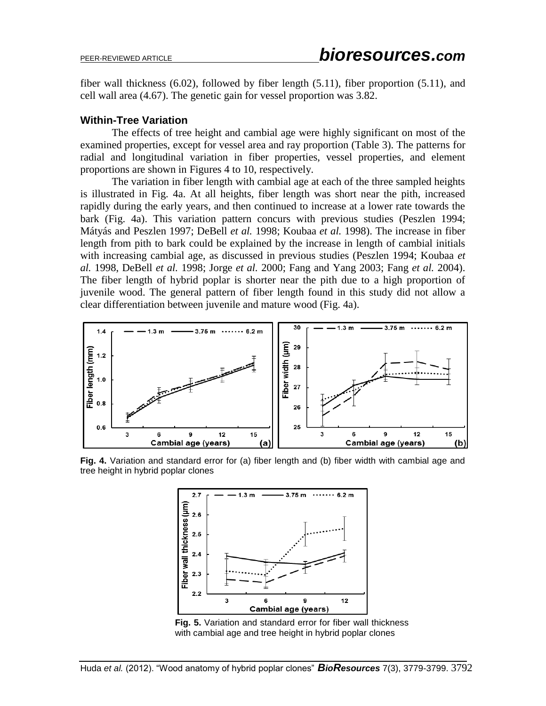fiber wall thickness (6.02), followed by fiber length (5.11), fiber proportion (5.11), and cell wall area (4.67). The genetic gain for vessel proportion was 3.82.

### **Within-Tree Variation**

The effects of tree height and cambial age were highly significant on most of the examined properties, except for vessel area and ray proportion (Table 3). The patterns for radial and longitudinal variation in fiber properties, vessel properties, and element proportions are shown in Figures 4 to 10, respectively.

The variation in fiber length with cambial age at each of the three sampled heights is illustrated in Fig. 4a. At all heights, fiber length was short near the pith, increased rapidly during the early years, and then continued to increase at a lower rate towards the bark (Fig. 4a). This variation pattern concurs with previous studies (Peszlen 1994; Mátyás and Peszlen 1997; DeBell *et al.* 1998; Koubaa *et al.* 1998). The increase in fiber length from pith to bark could be explained by the increase in length of cambial initials with increasing cambial age, as discussed in previous studies (Peszlen 1994; Koubaa *et al.* 1998, DeBell *et al.* 1998; Jorge *et al.* 2000; Fang and Yang 2003; Fang *et al.* 2004). The fiber length of hybrid poplar is shorter near the pith due to a high proportion of juvenile wood. The general pattern of fiber length found in this study did not allow a clear differentiation between juvenile and mature wood (Fig. 4a).



**Fig. 4.** Variation and standard error for (a) fiber length and (b) fiber width with cambial age and tree height in hybrid poplar clones



**Fig. 5.** Variation and standard error for fiber wall thickness with cambial age and tree height in hybrid poplar clones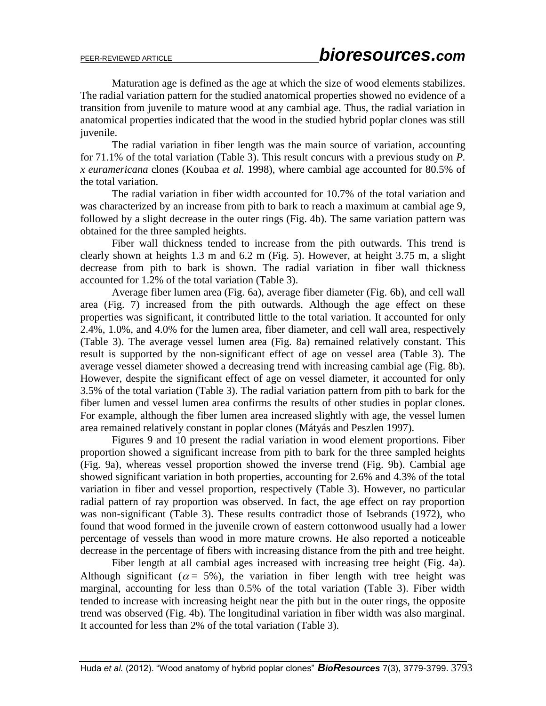Maturation age is defined as the age at which the size of wood elements stabilizes. The radial variation pattern for the studied anatomical properties showed no evidence of a transition from juvenile to mature wood at any cambial age. Thus, the radial variation in anatomical properties indicated that the wood in the studied hybrid poplar clones was still juvenile.

The radial variation in fiber length was the main source of variation, accounting for 71.1% of the total variation (Table 3). This result concurs with a previous study on *P. x euramericana* clones (Koubaa *et al.* 1998), where cambial age accounted for 80.5% of the total variation.

The radial variation in fiber width accounted for 10.7% of the total variation and was characterized by an increase from pith to bark to reach a maximum at cambial age 9, followed by a slight decrease in the outer rings (Fig. 4b). The same variation pattern was obtained for the three sampled heights.

Fiber wall thickness tended to increase from the pith outwards. This trend is clearly shown at heights 1.3 m and 6.2 m (Fig. 5). However, at height 3.75 m, a slight decrease from pith to bark is shown. The radial variation in fiber wall thickness accounted for 1.2% of the total variation (Table 3).

Average fiber lumen area (Fig. 6a), average fiber diameter (Fig. 6b), and cell wall area (Fig. 7) increased from the pith outwards. Although the age effect on these properties was significant, it contributed little to the total variation. It accounted for only 2.4%, 1.0%, and 4.0% for the lumen area, fiber diameter, and cell wall area, respectively (Table 3). The average vessel lumen area (Fig. 8a) remained relatively constant. This result is supported by the non-significant effect of age on vessel area (Table 3). The average vessel diameter showed a decreasing trend with increasing cambial age (Fig. 8b). However, despite the significant effect of age on vessel diameter, it accounted for only 3.5% of the total variation (Table 3). The radial variation pattern from pith to bark for the fiber lumen and vessel lumen area confirms the results of other studies in poplar clones. For example, although the fiber lumen area increased slightly with age, the vessel lumen area remained relatively constant in poplar clones (Mátyás and Peszlen 1997).

Figures 9 and 10 present the radial variation in wood element proportions. Fiber proportion showed a significant increase from pith to bark for the three sampled heights (Fig. 9a), whereas vessel proportion showed the inverse trend (Fig. 9b). Cambial age showed significant variation in both properties, accounting for 2.6% and 4.3% of the total variation in fiber and vessel proportion, respectively (Table 3). However, no particular radial pattern of ray proportion was observed. In fact, the age effect on ray proportion was non-significant (Table 3). These results contradict those of Isebrands (1972), who found that wood formed in the juvenile crown of eastern cottonwood usually had a lower percentage of vessels than wood in more mature crowns. He also reported a noticeable decrease in the percentage of fibers with increasing distance from the pith and tree height.

Fiber length at all cambial ages increased with increasing tree height (Fig. 4a). Although significant ( $\alpha = 5\%$ ), the variation in fiber length with tree height was marginal, accounting for less than 0.5% of the total variation (Table 3). Fiber width tended to increase with increasing height near the pith but in the outer rings, the opposite trend was observed (Fig. 4b). The longitudinal variation in fiber width was also marginal. It accounted for less than 2% of the total variation (Table 3).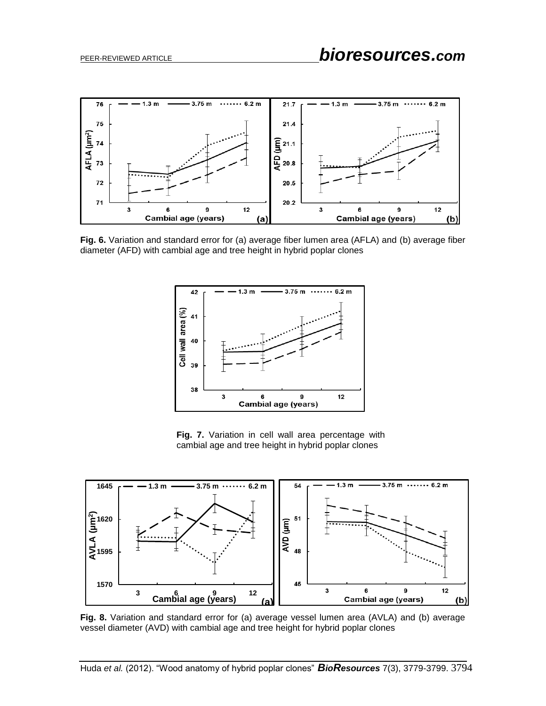

**Fig. 6.** Variation and standard error for (a) average fiber lumen area (AFLA) and (b) average fiber diameter (AFD) with cambial age and tree height in hybrid poplar clones



**Fig. 7.** Variation in cell wall area percentage with cambial age and tree height in hybrid poplar clones



**Fig. 8.** Variation and standard error for (a) average vessel lumen area (AVLA) and (b) average vessel diameter (AVD) with cambial age and tree height for hybrid poplar clones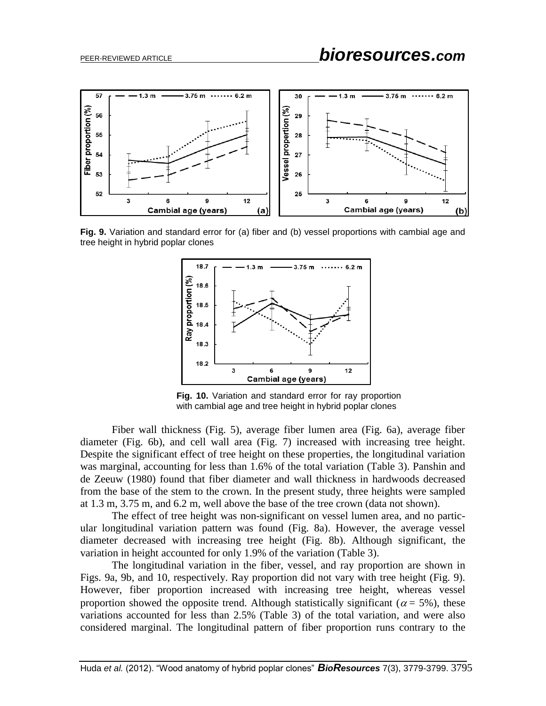

**Fig. 9.** Variation and standard error for (a) fiber and (b) vessel proportions with cambial age and tree height in hybrid poplar clones



**Fig. 10.** Variation and standard error for ray proportion with cambial age and tree height in hybrid poplar clones

Fiber wall thickness (Fig. 5), average fiber lumen area (Fig. 6a), average fiber diameter (Fig. 6b), and cell wall area (Fig. 7) increased with increasing tree height. Despite the significant effect of tree height on these properties, the longitudinal variation was marginal, accounting for less than 1.6% of the total variation (Table 3). Panshin and de Zeeuw (1980) found that fiber diameter and wall thickness in hardwoods decreased from the base of the stem to the crown. In the present study, three heights were sampled at 1.3 m, 3.75 m, and 6.2 m, well above the base of the tree crown (data not shown).

The effect of tree height was non-significant on vessel lumen area, and no particular longitudinal variation pattern was found (Fig. 8a). However, the average vessel diameter decreased with increasing tree height (Fig. 8b). Although significant, the variation in height accounted for only 1.9% of the variation (Table 3).

The longitudinal variation in the fiber, vessel, and ray proportion are shown in Figs. 9a, 9b, and 10, respectively. Ray proportion did not vary with tree height (Fig. 9). However, fiber proportion increased with increasing tree height, whereas vessel proportion showed the opposite trend. Although statistically significant ( $\alpha$  = 5%), these variations accounted for less than 2.5% (Table 3) of the total variation, and were also considered marginal. The longitudinal pattern of fiber proportion runs contrary to the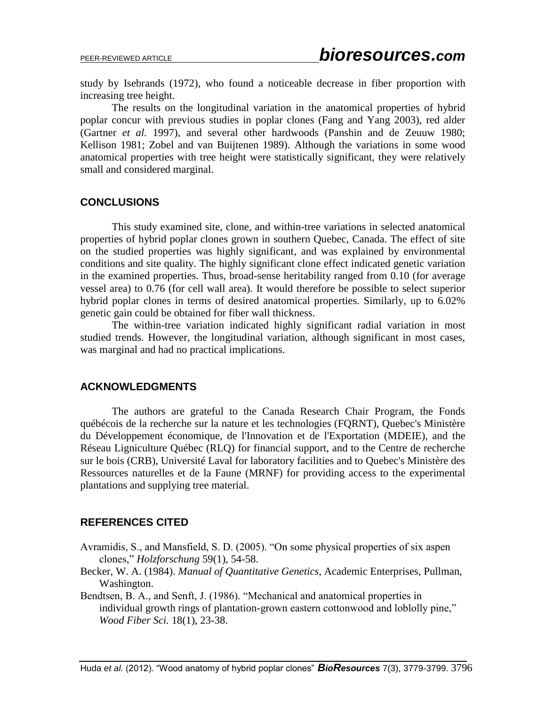study by Isebrands (1972), who found a noticeable decrease in fiber proportion with increasing tree height.

The results on the longitudinal variation in the anatomical properties of hybrid poplar concur with previous studies in poplar clones (Fang and Yang 2003), red alder (Gartner *et al.* 1997), and several other hardwoods (Panshin and de Zeuuw 1980; Kellison 1981; Zobel and van Buijtenen 1989). Although the variations in some wood anatomical properties with tree height were statistically significant, they were relatively small and considered marginal.

## **CONCLUSIONS**

This study examined site, clone, and within-tree variations in selected anatomical properties of hybrid poplar clones grown in southern Quebec, Canada. The effect of site on the studied properties was highly significant, and was explained by environmental conditions and site quality. The highly significant clone effect indicated genetic variation in the examined properties. Thus, broad-sense heritability ranged from 0.10 (for average vessel area) to 0.76 (for cell wall area). It would therefore be possible to select superior hybrid poplar clones in terms of desired anatomical properties. Similarly, up to 6.02% genetic gain could be obtained for fiber wall thickness.

The within-tree variation indicated highly significant radial variation in most studied trends. However, the longitudinal variation, although significant in most cases, was marginal and had no practical implications.

## **ACKNOWLEDGMENTS**

The authors are grateful to the Canada Research Chair Program, the Fonds québécois de la recherche sur la nature et les technologies (FQRNT), Quebec's Ministère du Développement économique, de l'Innovation et de l'Exportation (MDEIE), and the Réseau Ligniculture Québec (RLQ) for financial support, and to the Centre de recherche sur le bois (CRB), Université Laval for laboratory facilities and to Quebec's Ministère des Ressources naturelles et de la Faune (MRNF) for providing access to the experimental plantations and supplying tree material.

## **REFERENCES CITED**

- Avramidis, S., and Mansfield, S. D. (2005). "On some physical properties of six aspen clones," *Holzforschung* 59(1), 54-58.
- Becker, W. A. (1984). *Manual of Quantitative Genetics,* Academic Enterprises, Pullman, Washington.
- Bendtsen, B. A., and Senft, J. (1986). "Mechanical and anatomical properties in individual growth rings of plantation-grown eastern cottonwood and loblolly pine," *Wood Fiber Sci.* 18(1), 23-38.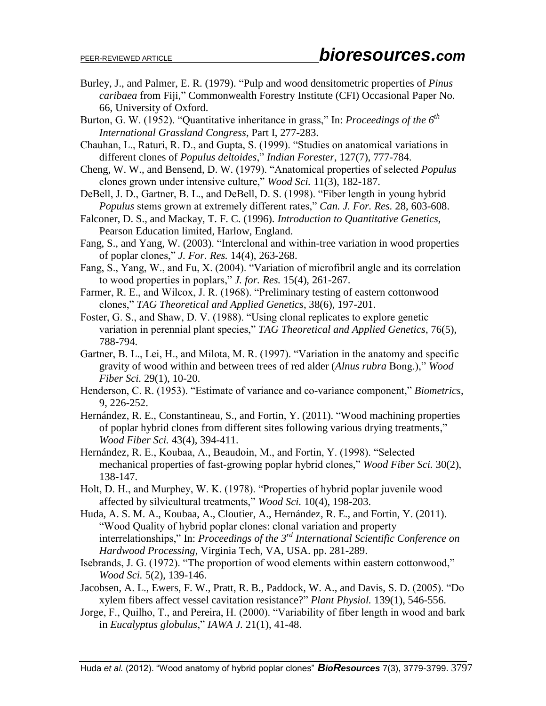- Burley, J., and Palmer, E. R. (1979). "Pulp and wood densitometric properties of *Pinus caribaea* from Fiji," Commonwealth Forestry Institute (CFI) Occasional Paper No. 66, University of Oxford.
- Burton, G. W. (1952). "Quantitative inheritance in grass," In: *Proceedings of the 6<sup>th</sup> International Grassland Congress*, Part I, 277-283.
- Chauhan, L., Raturi, R. D., and Gupta, S. (1999). "Studies on anatomical variations in different clones of *Populus deltoides*," *Indian Forester*, 127(7), 777-784.
- Cheng, W. W., and Bensend, D. W. (1979). "Anatomical properties of selected *Populus*  clones grown under intensive culture," *Wood Sci.* 11(3), 182-187.
- DeBell, J. D., Gartner, B. L., and DeBell, D. S. (1998). "Fiber length in young hybrid *Populus* stems grown at extremely different rates," *Can. J. For. Res.* 28, 603-608.
- Falconer, D. S., and Mackay, T. F. C. (1996). *Introduction to Quantitative Genetics,*  Pearson Education limited, Harlow, England.
- Fang, S., and Yang, W. (2003). "Interclonal and within-tree variation in wood properties of poplar clones," *J. For. Res.* 14(4), 263-268.
- Fang, S., Yang, W., and Fu, X. (2004). "Variation of microfibril angle and its correlation to wood properties in poplars," *J. for. Res.* 15(4), 261-267.
- Farmer, R. E., and Wilcox, J. R. (1968). "Preliminary testing of eastern cottonwood clones," *TAG Theoretical and Applied Genetics*, 38(6), 197-201.
- Foster, G. S., and Shaw, D. V. (1988). "Using clonal replicates to explore genetic variation in perennial plant species," *TAG Theoretical and Applied Genetics*, 76(5), 788-794.
- Gartner, B. L., Lei, H., and Milota, M. R. (1997). "Variation in the anatomy and specific gravity of wood within and between trees of red alder (*Alnus rubra* Bong.)," *Wood Fiber Sci.* 29(1), 10-20.
- Henderson, C. R. (1953). "Estimate of variance and co-variance component," *Biometrics*, 9, 226-252.
- Hernández, R. E., Constantineau, S., and Fortin, Y. (2011). "Wood machining properties of poplar hybrid clones from different sites following various drying treatments," *Wood Fiber Sci.* 43(4), 394-411.
- Hernández, R. E., Koubaa, A., Beaudoin, M., and Fortin, Y. (1998). "Selected mechanical properties of fast-growing poplar hybrid clones," *Wood Fiber Sci.* 30(2), 138-147.
- Holt, D. H., and Murphey, W. K. (1978). "Properties of hybrid poplar juvenile wood affected by silvicultural treatments," *Wood Sci.* 10(4), 198-203.
- Huda, A. S. M. A., Koubaa, A., Cloutier, A., Hernández, R. E., and Fortin, Y. (2011). "Wood Quality of hybrid poplar clones: clonal variation and property interrelationships," In: *Proceedings of the 3rd International Scientific Conference on Hardwood Processing*, Virginia Tech, VA, USA. pp. 281-289.
- Isebrands, J. G. (1972). "The proportion of wood elements within eastern cottonwood," *Wood Sci.* 5(2), 139-146.
- Jacobsen, A. L., Ewers, F. W., Pratt, R. B., Paddock, W. A., and Davis, S. D. (2005). "Do xylem fibers affect vessel cavitation resistance?" *Plant Physiol.* 139(1), 546-556.
- Jorge, F., Quilho, T., and Pereira, H. (2000). "Variability of fiber length in wood and bark in *Eucalyptus globulus*," *IAWA J.* 21(1), 41-48.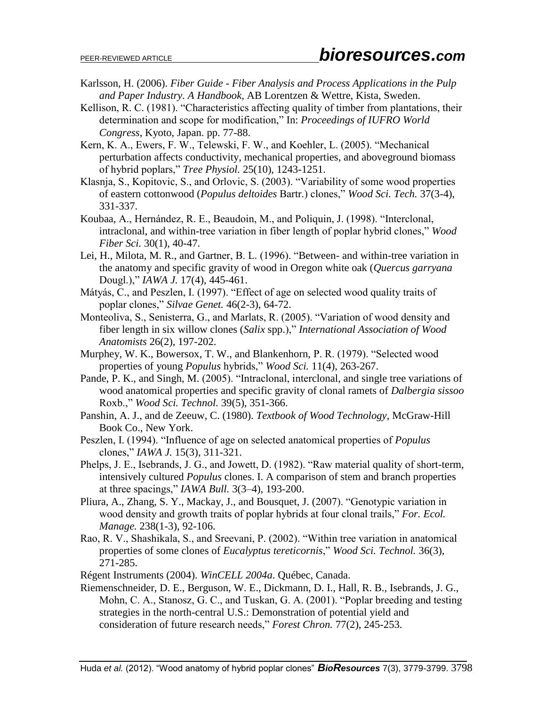- Karlsson, H. (2006). *Fiber Guide - Fiber Analysis and Process Applications in the Pulp and Paper Industry. A Handbook,* AB Lorentzen & Wettre, Kista, Sweden.
- Kellison, R. C. (1981). "Characteristics affecting quality of timber from plantations, their determination and scope for modification," In: *Proceedings of IUFRO World Congress*, Kyoto, Japan. pp. 77-88.
- Kern, K. A., Ewers, F. W., Telewski, F. W., and Koehler, L. (2005). "Mechanical perturbation affects conductivity, mechanical properties, and aboveground biomass of hybrid poplars," *Tree Physiol.* 25(10), 1243-1251.
- Klasnja, S., Kopitovic, S., and Orlovic, S. (2003). "Variability of some wood properties of eastern cottonwood (*Populus deltoides* Bartr.) clones," *Wood Sci. Tech.* 37(3-4), 331-337.
- Koubaa, A., Hernández, R. E., Beaudoin, M., and Poliquin, J. (1998). "Interclonal, intraclonal, and within-tree variation in fiber length of poplar hybrid clones," *Wood Fiber Sci.* 30(1), 40-47.
- Lei, H., Milota, M. R., and Gartner, B. L. (1996). "Between- and within-tree variation in the anatomy and specific gravity of wood in Oregon white oak (*Quercus garryana*  Dougl.)," *IAWA J.* 17(4), 445-461.
- Mátyás, C., and Peszlen, I. (1997). "Effect of age on selected wood quality traits of poplar clones," *Silvae Genet.* 46(2-3), 64-72.
- Monteoliva, S., Senisterra, G., and Marlats, R. (2005). "Variation of wood density and fiber length in six willow clones (*Salix* spp.)," *International Association of Wood Anatomists* 26(2), 197-202.
- Murphey, W. K., Bowersox, T. W., and Blankenhorn, P. R. (1979). "Selected wood properties of young *Populus* hybrids," *Wood Sci.* 11(4), 263-267.
- Pande, P. K., and Singh, M. (2005). "Intraclonal, interclonal, and single tree variations of wood anatomical properties and specific gravity of clonal ramets of *Dalbergia sissoo*  Roxb.," *Wood Sci. Technol.* 39(5), 351-366.
- Panshin, A. J., and de Zeeuw, C. (1980). *Textbook of Wood Technology*, McGraw-Hill Book Co., New York.
- Peszlen, I. (1994). "Influence of age on selected anatomical properties of *Populus*  clones," *IAWA J.* 15(3), 311-321.
- Phelps, J. E., Isebrands, J. G., and Jowett, D. (1982). "Raw material quality of short-term, intensively cultured *Populus* clones. I. A comparison of stem and branch properties at three spacings," *IAWA Bull.* 3(3–4), 193-200.
- Pliura, A., Zhang, S. Y., Mackay, J., and Bousquet, J. (2007). "Genotypic variation in wood density and growth traits of poplar hybrids at four clonal trails," *For. Ecol. Manage.* 238(1-3), 92-106.
- Rao, R. V., Shashikala, S., and Sreevani, P. (2002). "Within tree variation in anatomical properties of some clones of *Eucalyptus tereticornis*," *Wood Sci. Technol.* 36(3), 271-285.
- Régent Instruments (2004). *WinCELL 2004a*. Québec, Canada.
- Riemenschneider, D. E., Berguson, W. E., Dickmann, D. I., Hall, R. B., Isebrands, J. G., Mohn, C. A., Stanosz, G. C., and Tuskan, G. A. (2001). "Poplar breeding and testing strategies in the north-central U.S.: Demonstration of potential yield and consideration of future research needs," *Forest Chron.* 77(2), 245-253.